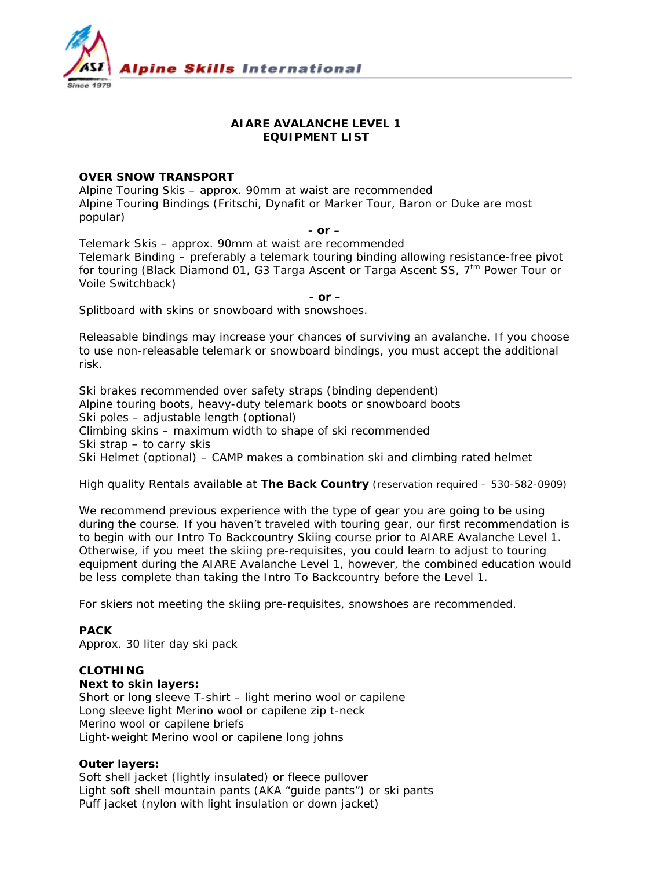

# **AIARE AVALANCHE LEVEL 1 EQUIPMENT LIST**

## **OVER SNOW TRANSPORT**

Alpine Touring Skis – approx. 90mm at waist are recommended Alpine Touring Bindings (Fritschi, Dynafit or Marker Tour, Baron or Duke are most popular)

#### *- or –*

Telemark Skis – approx. 90mm at waist are recommended Telemark Binding – preferably a telemark touring binding allowing resistance-free pivot for touring (Black Diamond 01, G3 Targa Ascent or Targa Ascent SS,  $7<sup>tm</sup>$  Power Tour or Voile Switchback)

*- or –* 

Splitboard with skins or snowboard with snowshoes.

*Releasable bindings may increase your chances of surviving an avalanche. If you choose to use non-releasable telemark or snowboard bindings, you must accept the additional risk.* 

Ski brakes recommended over safety straps (binding dependent) Alpine touring boots, heavy-duty telemark boots or snowboard boots Ski poles – adjustable length (optional) Climbing skins – maximum width to shape of ski recommended Ski strap – to carry skis Ski Helmet (optional) – CAMP makes a combination ski and climbing rated helmet

#### *High quality Rentals available at The Back Country (reservation required – 530-582-0909)*

We recommend previous experience with the type of gear you are going to be using during the course. If you haven't traveled with touring gear, our first recommendation is to begin with our Intro To Backcountry Skiing course prior to AIARE Avalanche Level 1. Otherwise, if you meet the skiing pre-requisites, you could learn to adjust to touring equipment during the AIARE Avalanche Level 1, however, the combined education would be less complete than taking the Intro To Backcountry before the Level 1.

For skiers not meeting the skiing pre-requisites, snowshoes are recommended.

## **PACK**

Approx. 30 liter day ski pack

## **CLOTHING**

**Next to skin layers:**

Short or long sleeve T-shirt – light merino wool or capilene Long sleeve light Merino wool or capilene zip t-neck Merino wool or capilene briefs Light-weight Merino wool or capilene long johns

## **Outer layers:**

Soft shell jacket (lightly insulated) or fleece pullover Light soft shell mountain pants (AKA "guide pants") or ski pants Puff jacket (nylon with light insulation or down jacket)